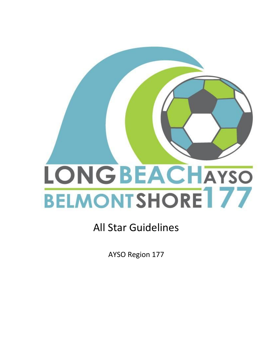# **LONGBEACHAYSO BELMONTSHORE**177

# All Star Guidelines

AYSO Region 177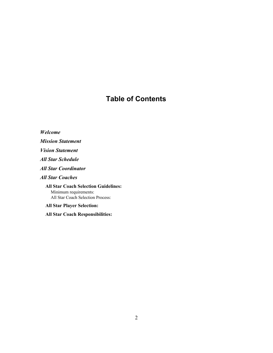# **Table of Contents**

*Welcome Mission Statement Vision Statement All Star Schedule All Star Coordinator All Star Coaches* **All Star Coach Selection Guidelines:** Minimum requirements: All Star Coach Selection Process: **All Star Player Selection:**

**All Star Coach Responsibilities:**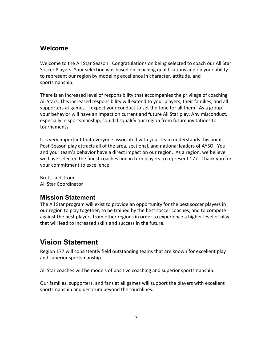#### **Welcome**

Welcome to the All Star Season. Congratulations on being selected to coach our All Star Soccer Players. Your selection was based on coaching qualifications and on your ability to represent our region by modeling excellence in character, attitude, and sportsmanship.

There is an increased level of responsibility that accompanies the privilege of coaching All Stars. This increased responsibility will extend to your players, their families, and all supporters at games. I expect your conduct to set the tone for all them. As a group your behavior will have an impact on current and future All Star play. Any misconduct, especially in sportsmanship, could disqualify our region from future invitations to tournaments.

It is very important that everyone associated with your team understands this point. Post-Season play attracts all of the area, sectional, and national leaders of AYSO. You and your team's behavior have a direct impact on our region. As a region, we believe we have selected the finest coaches and in turn players to represent 177. Thank you for your commitment to excellence,

Brett Lindstrom All Star Coordinator

#### **Mission Statement**

The All Star program will exist to provide an opportunity for the best soccer players in our region to play together, to be trained by the best soccer coaches, and to compete against the best players from other regions in order to experience a higher level of play that will lead to increased skills and success in the future.

# **Vision Statement**

Region 177 will consistently field outstanding teams that are known for excellent play and superior sportsmanship.

All Star coaches will be models of positive coaching and superior sportsmanship.

Our families, supporters, and fans at all games will support the players with excellent sportsmanship and decorum beyond the touchlines.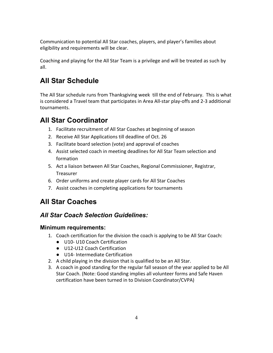Communication to potential All Star coaches, players, and player's families about eligibility and requirements will be clear.

Coaching and playing for the All Star Team is a privilege and will be treated as such by all.

# **All Star Schedule**

The All Star schedule runs from Thanksgiving week till the end of February. This is what is considered a Travel team that participates in Area All-star play-offs and 2-3 additional tournaments.

# **All Star Coordinator**

- 1. Facilitate recruitment of All Star Coaches at beginning of season
- 2. Receive All Star Applications till deadline of Oct. 26
- 3. Facilitate board selection (vote) and approval of coaches
- 4. Assist selected coach in meeting deadlines for All Star Team selection and formation
- 5. Act a liaison between All Star Coaches, Regional Commissioner, Registrar, Treasurer
- 6. Order uniforms and create player cards for All Star Coaches
- 7. Assist coaches in completing applications for tournaments

# **All Star Coaches**

## *All Star Coach Selection Guidelines:*

#### **Minimum requirements:**

- 1. Coach certification for the division the coach is applying to be All Star Coach:
	- U10- U10 Coach Certification
	- U12-U12 Coach Certification
	- U14- Intermediate Certification
- 2. A child playing in the division that is qualified to be an All Star.
- 3. A coach in good standing for the regular fall season of the year applied to be All Star Coach. (Note: Good standing implies all volunteer forms and Safe Haven certification have been turned in to Division Coordinator/CVPA)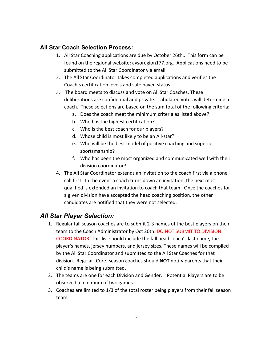#### **All Star Coach Selection Process:**

- 1. All Star Coaching applications are due by October 26th.. This form can be found on the regional website: aysoregion177.org. Applications need to be submitted to the All Star Coordinator via email.
- 2. The All Star Coordinator takes completed applications and verifies the Coach's certification levels and safe haven status.
- 3. The board meets to discuss and vote on All Star Coaches. These deliberations are confidential and private. Tabulated votes will determine a coach. These selections are based on the sum total of the following criteria:
	- a. Does the coach meet the minimum criteria as listed above?
	- b. Who has the highest certification?
	- c. Who is the best coach for our players?
	- d. Whose child is most likely to be an All-star?
	- e. Who will be the best model of positive coaching and superior sportsmanship?
	- f. Who has been the most organized and communicated well with their division coordinator?
- 4. The All Star Coordinator extends an invitation to the coach first via a phone call first. In the event a coach turns down an invitation, the next most qualified is extended an invitation to coach that team. Once the coaches for a given division have accepted the head coaching position, the other candidates are notified that they were not selected.

#### *All Star Player Selection:*

- 1. Regular fall season coaches are to submit 2-3 names of the best players on their team to the Coach Administrator by Oct 20th. DO NOT SUBMIT TO DIVISION COORDINATOR. This list should include the fall head coach's last name, the player's names, jersey numbers, and jersey sizes. These names will be compiled by the All Star Coordinator and submitted to the All Star Coaches for that division. Regular (Core) season coaches should **NOT** notify parents that their child's name is being submitted.
- 2. The teams are one for each Division and Gender. Potential Players are to be observed a minimum of two games.
- 3. Coaches are limited to 1/3 of the total roster being players from their fall season team.